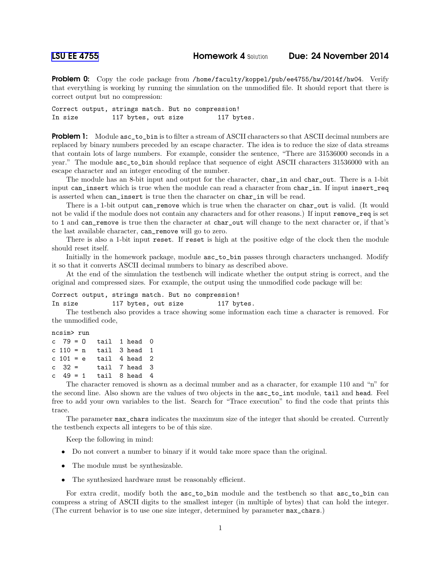Problem 0: Copy the code package from /home/faculty/koppel/pub/ee4755/hw/2014f/hw04. Verify that everything is working by running the simulation on the unmodified file. It should report that there is correct output but no compression:

Correct output, strings match. But no compression! In size 117 bytes, out size 117 bytes.

**Problem 1:** Module asc\_to\_bin is to filter a stream of ASCII characters so that ASCII decimal numbers are replaced by binary numbers preceded by an escape character. The idea is to reduce the size of data streams that contain lots of large numbers. For example, consider the sentence, "There are 31536000 seconds in a year." The module asc\_to\_bin should replace that sequence of eight ASCII characters 31536000 with an escape character and an integer encoding of the number.

The module has an 8-bit input and output for the character, char\_in and char\_out. There is a 1-bit input can\_insert which is true when the module can read a character from char\_in. If input insert\_req is asserted when can\_insert is true then the character on char\_in will be read.

There is a 1-bit output can\_remove which is true when the character on char\_out is valid. (It would not be valid if the module does not contain any characters and for other reasons.) If input remove\_req is set to 1 and can\_remove is true then the character at char\_out will change to the next character or, if that's the last available character, can\_remove will go to zero.

There is also a 1-bit input reset. If reset is high at the positive edge of the clock then the module should reset itself.

Initially in the homework package, module asc\_to\_bin passes through characters unchanged. Modify it so that it converts ASCII decimal numbers to binary as described above.

At the end of the simulation the testbench will indicate whether the output string is correct, and the original and compressed sizes. For example, the output using the unmodified code package will be:

## Correct output, strings match. But no compression!

In size 117 bytes, out size 117 bytes.

The testbench also provides a trace showing some information each time a character is removed. For the unmodified code,

```
ncsim> run
c 79 = 0 tail 1 head 0
c 110 = n tail 3 head 1
c 101 = e tail 4 head 2
c 32 = tail 7 head 3
c 49 = 1 tail 8 head 4
```
The character removed is shown as a decimal number and as a character, for example 110 and "n" for the second line. Also shown are the values of two objects in the asc\_to\_int module, tail and head. Feel free to add your own variables to the list. Search for "Trace execution" to find the code that prints this trace.

The parameter max\_chars indicates the maximum size of the integer that should be created. Currently the testbench expects all integers to be of this size.

Keep the following in mind:

- Do not convert a number to binary if it would take more space than the original.
- The module must be synthesizable.
- The synthesized hardware must be reasonably efficient.

For extra credit, modify both the  $asc_to$ <sub>phin</sub> module and the testbench so that  $asc_to$ <sub>phin</sub> can compress a string of ASCII digits to the smallest integer (in multiple of bytes) that can hold the integer. (The current behavior is to use one size integer, determined by parameter max\_chars.)